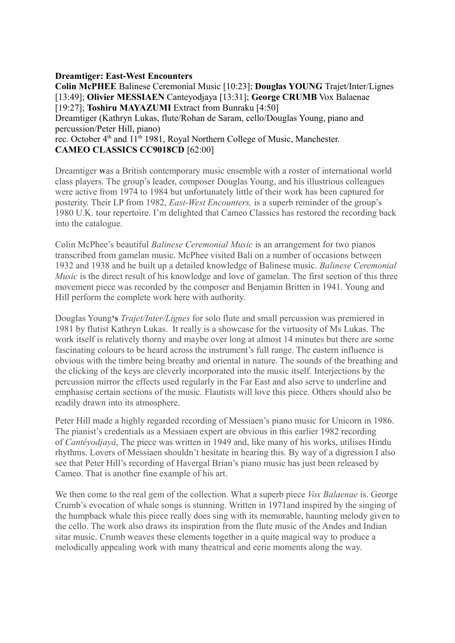## **Dreamtiger: East-West Encounters**

**Colin McPHEE** Balinese Ceremonial Music [10:23]; **Douglas YOUNG** Trajet/Inter/Lignes [13:49]; **Olivier MESSIAEN** Canteyodjaya [13:31]; **George CRUMB** Vox Balaenae [19:27]; **Toshiru MAYAZUMI** Extract from Bunraku [4:50] Dreamtiger (Kathryn Lukas, flute/Rohan de Saram, cello/Douglas Young, piano and percussion/Peter Hill, piano) rec. October  $4<sup>th</sup>$  and  $11<sup>th</sup>$  1981, Royal Northern College of Music, Manchester. **CAMEO CLASSICS CC9018CD** [62:00] Dreamtiger **w**as a British contemporary music ensemble with a roster of international world

class players. The group's leader, composer Douglas Young, and his illustrious colleagues were active from 1974 to 1984 but unfortunately little of their work has been captured for posterity. Their LP from 1982, *East-West Encounters,* is a superb reminder of the group's 1980 U.K. tour repertoire. I'm delighted that Cameo Classics has restored the recording back into the catalogue.

Colin McPhee's beautiful *Balinese Ceremonial Music* is an arrangement for two pianos transcribed from gamelan music. McPhee visited Bali on a number of occasions between 1932 and 1938 and he built up a detailed knowledge of Balinese music. *Balinese Ceremonial Music* is the direct result of his knowledge and love of gamelan. The first section of this three movement piece was recorded by the composer and Benjamin Britten in 1941. Young and Hill perform the complete work here with authority.

Douglas Young**'s** *Trajet/Inter/Lignes* for solo flute and small percussion was premiered in 1981 by flutist Kathryn Lukas. It really is a showcase for the virtuosity of Ms Lukas. The work itself is relatively thorny and maybe over long at almost 14 minutes but there are some fascinating colours to be heard across the instrument's full range. The eastern influence is obvious with the timbre being breathy and oriental in nature. The sounds of the breathing and the clicking of the keys are cleverly incorporated into the music itself. Interjections by the percussion mirror the effects used regularly in the Far East and also serve to underline and emphasise certain sections of the music. Flautists will love this piece. Others should also be readily drawn into its atmosphere.

Peter Hill made a highly regarded recording of Messiaen's piano music for Unicorn in 1986. The pianist's credentials as a Messiaen expert are obvious in this earlier 1982 recording of *Cantéyodjayâ*, The piece was written in 1949 and, like many of his works, utilises Hindu rhythms. Lovers of Messiaen shouldn't hesitate in hearing this. By way of a digression I also see that Peter Hill's recording of Havergal Brian's piano music has just been released by Cameo. That is another fine example of his art.

We then come to the real gem of the collection. What a superb piece *Vox Balaenae* is. George Crumb's evocation of whale songs is stunning. Written in 1971and inspired by the singing of the humpback whale this piece really does sing with its memorable, haunting melody given to the cello. The work also draws its inspiration from the flute music of the Andes and Indian sitar music. Crumb weaves these elements together in a quite magical way to produce a melodically appealing work with many theatrical and eerie moments along the way.